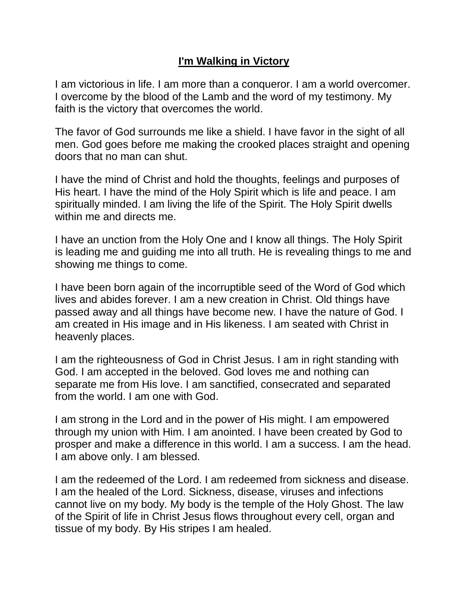## **I'm Walking in Victory**

I am victorious in life. I am more than a conqueror. I am a world overcomer. I overcome by the blood of the Lamb and the word of my testimony. My faith is the victory that overcomes the world.

The favor of God surrounds me like a shield. I have favor in the sight of all men. God goes before me making the crooked places straight and opening doors that no man can shut.

I have the mind of Christ and hold the thoughts, feelings and purposes of His heart. I have the mind of the Holy Spirit which is life and peace. I am spiritually minded. I am living the life of the Spirit. The Holy Spirit dwells within me and directs me.

I have an unction from the Holy One and I know all things. The Holy Spirit is leading me and guiding me into all truth. He is revealing things to me and showing me things to come.

I have been born again of the incorruptible seed of the Word of God which lives and abides forever. I am a new creation in Christ. Old things have passed away and all things have become new. I have the nature of God. I am created in His image and in His likeness. I am seated with Christ in heavenly places.

I am the righteousness of God in Christ Jesus. I am in right standing with God. I am accepted in the beloved. God loves me and nothing can separate me from His love. I am sanctified, consecrated and separated from the world. I am one with God.

I am strong in the Lord and in the power of His might. I am empowered through my union with Him. I am anointed. I have been created by God to prosper and make a difference in this world. I am a success. I am the head. I am above only. I am blessed.

I am the redeemed of the Lord. I am redeemed from sickness and disease. I am the healed of the Lord. Sickness, disease, viruses and infections cannot live on my body. My body is the temple of the Holy Ghost. The law of the Spirit of life in Christ Jesus flows throughout every cell, organ and tissue of my body. By His stripes I am healed.